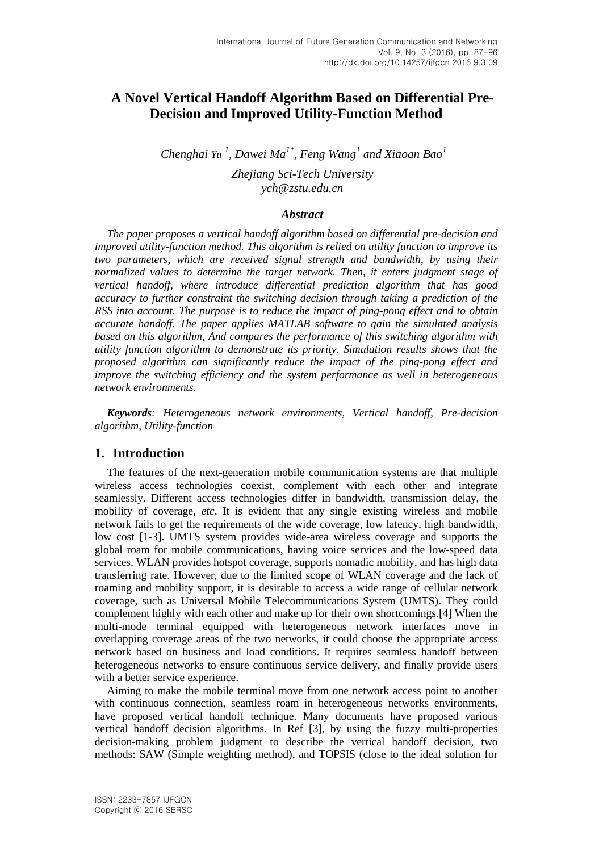# **A Novel Vertical Handoff Algorithm Based on Differential Pre-Decision and Improved Utility-Function Method**

*Chenghai*  $Yu^1$ , *Dawei*  $Ma^{1*}$ , *Feng*  $Wang^1$  and Xiaoan Bao<sup>1</sup>

*Zhejiang Sci-Tech University ych@zstu.edu.cn*

#### *Abstract*

*The paper proposes a vertical handoff algorithm based on differential pre-decision and improved utility-function method. This algorithm is relied on utility function to improve its two parameters, which are received signal strength and bandwidth, by using their normalized values to determine the target network. Then, it enters judgment stage of vertical handoff, where introduce differential prediction algorithm that has good accuracy to further constraint the switching decision through taking a prediction of the RSS into account. The purpose is to reduce the impact of ping-pong effect and to obtain accurate handoff. The paper applies MATLAB software to gain the simulated analysis based on this algorithm, And compares the performance of this switching algorithm with utility function algorithm to demonstrate its priority. Simulation results shows that the proposed algorithm can significantly reduce the impact of the ping-pong effect and improve the switching efficiency and the system performance as well in heterogeneous network environments.*

*Keywords: Heterogeneous network environments, Vertical handoff, Pre-decision algorithm, Utility-function*

### **1. Introduction**

The features of the next-generation mobile communication systems are that multiple wireless access technologies coexist, complement with each other and integrate seamlessly. Different access technologies differ in bandwidth, transmission delay, the mobility of coverage, *etc*. It is evident that any single existing wireless and mobile network fails to get the requirements of the wide coverage, low latency, high bandwidth, low cost [1-3]. UMTS system provides wide-area wireless coverage and supports the global roam for mobile communications, having voice services and the low-speed data services. WLAN provides hotspot coverage, supports nomadic mobility, and has high data transferring rate. However, due to the limited scope of WLAN coverage and the lack of roaming and mobility support, it is desirable to access a wide range of cellular network coverage, such as Universal Mobile Telecommunications System (UMTS). They could complement highly with each other and make up for their own shortcomings.[4] When the multi-mode terminal equipped with heterogeneous network interfaces move in overlapping coverage areas of the two networks, it could choose the appropriate access network based on business and load conditions. It requires seamless handoff between heterogeneous networks to ensure continuous service delivery, and finally provide users with a better service experience.

Aiming to make the mobile terminal move from one network access point to another with continuous connection, seamless roam in heterogeneous networks environments, have proposed vertical handoff technique. Many documents have proposed various vertical handoff decision algorithms. In Ref [3], by using the fuzzy multi-properties decision-making problem judgment to describe the vertical handoff decision, two methods: SAW (Simple weighting method), and TOPSIS (close to the ideal solution for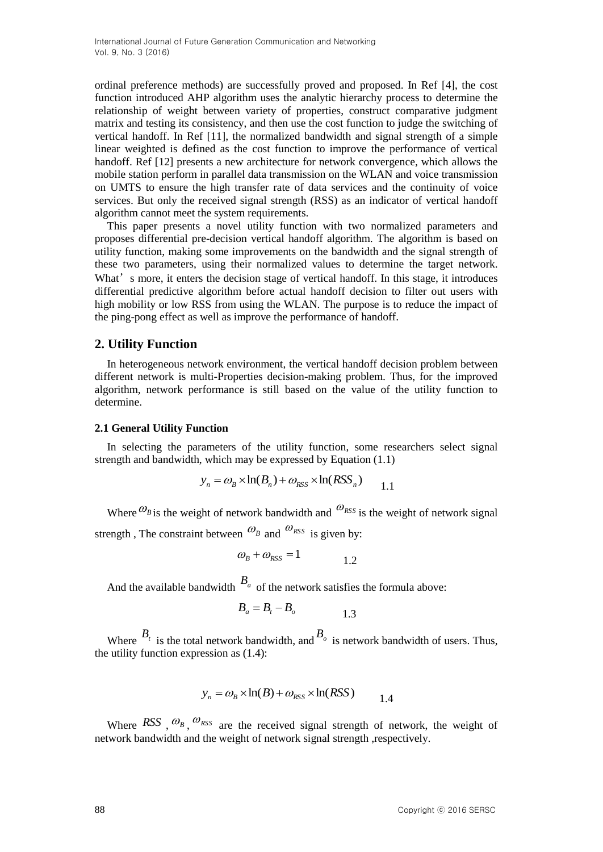ordinal preference methods) are successfully proved and proposed. In Ref [4], the cost function introduced AHP algorithm uses the analytic hierarchy process to determine the relationship of weight between variety of properties, construct comparative judgment matrix and testing its consistency, and then use the cost function to judge the switching of vertical handoff. In Ref [11], the normalized bandwidth and signal strength of a simple linear weighted is defined as the cost function to improve the performance of vertical handoff. Ref [12] presents a new architecture for network convergence, which allows the mobile station perform in parallel data transmission on the WLAN and voice transmission on UMTS to ensure the high transfer rate of data services and the continuity of voice services. But only the received signal strength (RSS) as an indicator of vertical handoff algorithm cannot meet the system requirements.

This paper presents a novel utility function with two normalized parameters and proposes differential pre-decision vertical handoff algorithm. The algorithm is based on utility function, making some improvements on the bandwidth and the signal strength of these two parameters, using their normalized values to determine the target network. What's more, it enters the decision stage of vertical handoff. In this stage, it introduces differential predictive algorithm before actual handoff decision to filter out users with high mobility or low RSS from using the WLAN. The purpose is to reduce the impact of the ping-pong effect as well as improve the performance of handoff.

# **2. Utility Function**

In heterogeneous network environment, the vertical handoff decision problem between different network is multi-Properties decision-making problem. Thus, for the improved algorithm, network performance is still based on the value of the utility function to determine.

#### **2.1 General Utility Function**

In selecting the parameters of the utility function, some researchers select signal strength and bandwidth, which may be expressed by Equation (1.1)

$$
y_n = \omega_B \times \ln(B_n) + \omega_{RSS} \times \ln(RSS_n)
$$
 1.1

Where  $\mathcal{O}_B$  is the weight of network bandwidth and  $\mathcal{O}_{RSS}$  is the weight of network signal strength, The constraint between  $\omega_B$  and  $\omega_{RSS}$  is given by:

$$
\omega_B + \omega_{RSS} = 1 \tag{1.2}
$$

And the available bandwidth  $B_a$  of the network satisfies the formula above:

$$
B_a = B_t - B_o \tag{1.3}
$$

Where  $B_t$  is the total network bandwidth, and  $B_o$  is network bandwidth of users. Thus, the utility function expression as (1.4):

$$
y_n = \omega_B \times \ln(B) + \omega_{RSS} \times \ln(RSS)
$$
 1.4

Where  $RSS$ ,  $\omega_B$ ,  $\omega_{RSS}$  are the received signal strength of network, the weight of network bandwidth and the weight of network signal strength ,respectively.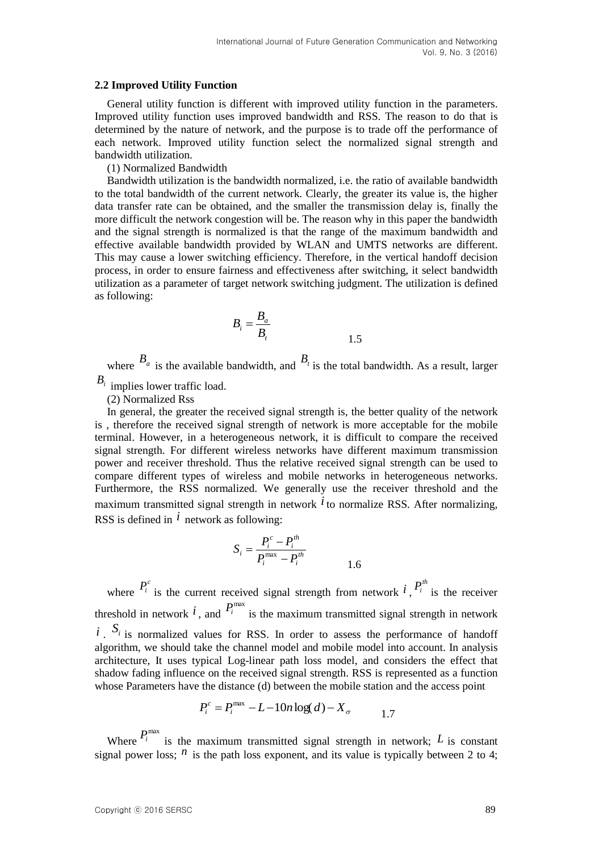#### **2.2 Improved Utility Function**

General utility function is different with improved utility function in the parameters. Improved utility function uses improved bandwidth and RSS. The reason to do that is determined by the nature of network, and the purpose is to trade off the performance of each network. Improved utility function select the normalized signal strength and bandwidth utilization.

(1) Normalized Bandwidth

Bandwidth utilization is the bandwidth normalized, i.e. the ratio of available bandwidth to the total bandwidth of the current network. Clearly, the greater its value is, the higher data transfer rate can be obtained, and the smaller the transmission delay is, finally the more difficult the network congestion will be. The reason why in this paper the bandwidth and the signal strength is normalized is that the range of the maximum bandwidth and effective available bandwidth provided by WLAN and UMTS networks are different. This may cause a lower switching efficiency. Therefore, in the vertical handoff decision process, in order to ensure fairness and effectiveness after switching, it select bandwidth utilization as a parameter of target network switching judgment. The utilization is defined as following:

$$
B_i = \frac{B_a}{B_t}
$$

where  $B_a$  is the available bandwidth, and  $B_t$  is the total bandwidth. As a result, larger

*Bi* implies lower traffic load.

(2) Normalized Rss

In general, the greater the received signal strength is, the better quality of the network is , therefore the received signal strength of network is more acceptable for the mobile terminal. However, in a heterogeneous network, it is difficult to compare the received signal strength. For different wireless networks have different maximum transmission power and receiver threshold. Thus the relative received signal strength can be used to compare different types of wireless and mobile networks in heterogeneous networks. Furthermore, the RSS normalized. We generally use the receiver threshold and the maximum transmitted signal strength in network  $\hat{i}$  to normalize RSS. After normalizing, RSS is defined in  $\hat{i}$  network as following:

$$
S_i = \frac{P_i^c - P_i^{th}}{P_i^{\max} - P_i^{th}}
$$
 1.6

where  $P_i^c$  is the current received signal strength from network  $i, P_i^{\text{th}}$  is the receiver threshold in network  $i$ , and  $P_i^{\max}$  is the maximum transmitted signal strength in network *i*.  $S_i$  is normalized values for RSS. In order to assess the performance of handoff algorithm, we should take the channel model and mobile model into account. In analysis architecture, It uses typical Log-linear path loss model, and considers the effect that shadow fading influence on the received signal strength. RSS is represented as a function whose Parameters have the distance (d) between the mobile station and the access point

$$
P_i^c = P_i^{\text{max}} - L - 10n \log(d) - X_\sigma \qquad 1.7
$$

Where  $P_i^{\max}$  is the maximum transmitted signal strength in network; L is constant signal power loss;  $^n$  is the path loss exponent, and its value is typically between 2 to 4;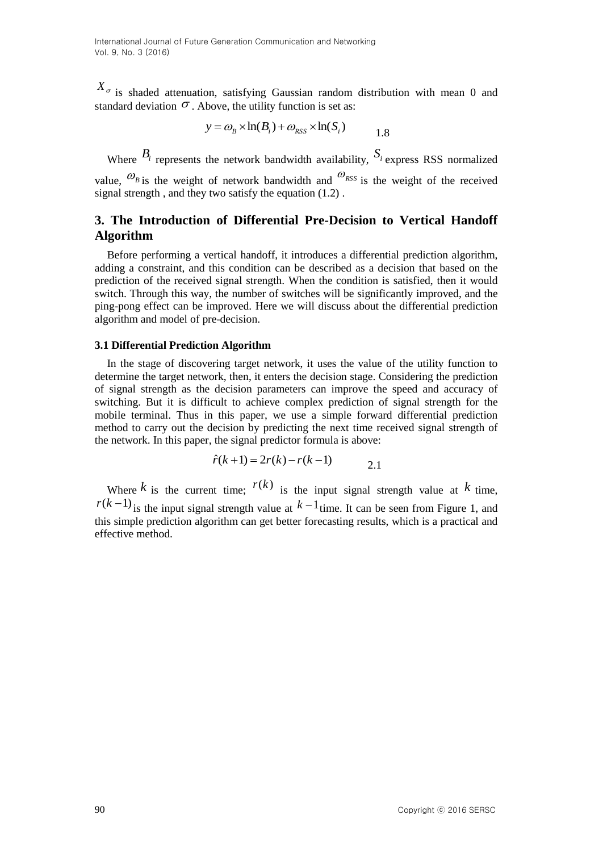$X_{\sigma}$  is shaded attenuation, satisfying Gaussian random distribution with mean 0 and standard deviation  $\sigma$ . Above, the utility function is set as:

$$
y = \omega_B \times \ln(B_i) + \omega_{RSS} \times \ln(S_i)
$$

Where  $B_i$  represents the network bandwidth availability,  $S_i$  express RSS normalized

value,  $\omega_{B}$  is the weight of network bandwidth and  $\omega_{RSS}$  is the weight of the received signal strength , and they two satisfy the equation (1.2) .

# **3. The Introduction of Differential Pre-Decision to Vertical Handoff Algorithm**

Before performing a vertical handoff, it introduces a differential prediction algorithm, adding a constraint, and this condition can be described as a decision that based on the prediction of the received signal strength. When the condition is satisfied, then it would switch. Through this way, the number of switches will be significantly improved, and the ping-pong effect can be improved. Here we will discuss about the differential prediction algorithm and model of pre-decision.

#### **3.1 Differential Prediction Algorithm**

 $X_c$  is shaded attenuation, satisfying Gaussian undom distribution with mean 0 and<br>standard deviation of . Above, the utilty (station formulation)<br> $x = 0$ ,  $y = 0$ ,  $y \ln(R_x) + 0.0y$ ,  $y = 0$ ,  $y \ln(R_y) + 0.0y$ ,  $y = 0$ ,  $y \ln(R_y) + 0$ In the stage of discovering target network, it uses the value of the utility function to determine the target network, then, it enters the decision stage. Considering the prediction of signal strength as the decision parameters can improve the speed and accuracy of switching. But it is difficult to achieve complex prediction of signal strength for the mobile terminal. Thus in this paper, we use a simple forward differential prediction method to carry out the decision by predicting the next time received signal strength of the network. In this paper, the signal predictor formula is above:

$$
\hat{r}(k+1) = 2r(k) - r(k-1) \tag{2.1}
$$

Where k is the current time;  $r(k)$  is the input signal strength value at k time,  $r(k-1)$  is the input signal strength value at  $k-1$  time. It can be seen from Figure 1, and this simple prediction algorithm can get better forecasting results, which is a practical and effective method.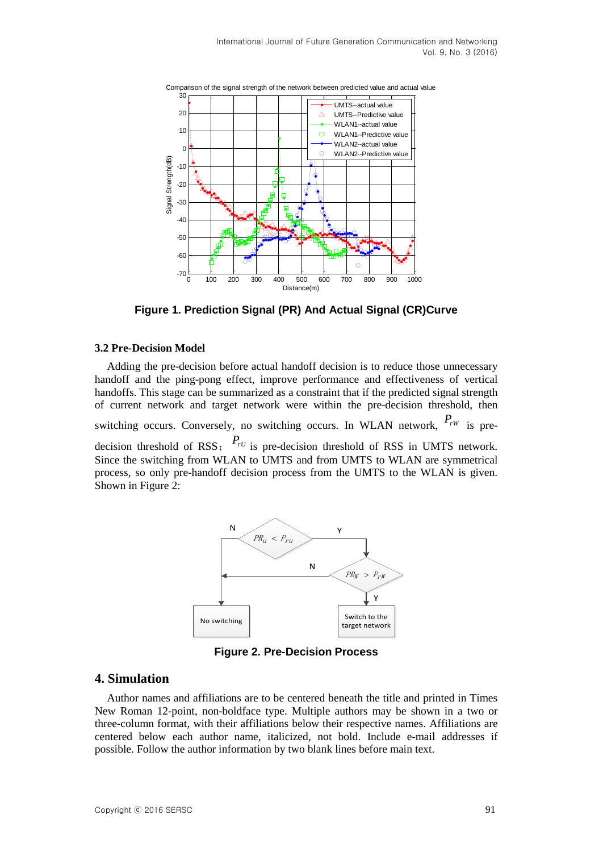

**Figure 1. Prediction Signal (PR) And Actual Signal (CR)Curve**

### **3.2 Pre-Decision Model**

Adding the pre-decision before actual handoff decision is to reduce those unnecessary handoff and the ping-pong effect, improve performance and effectiveness of vertical handoffs. This stage can be summarized as a constraint that if the predicted signal strength of current network and target network were within the pre-decision threshold, then switching occurs. Conversely, no switching occurs. In WLAN network,  $P_{rw}$  is predecision threshold of RSS; *PrU* is pre-decision threshold of RSS in UMTS network. Since the switching from WLAN to UMTS and from UMTS to WLAN are symmetrical process, so only pre-handoff decision process from the UMTS to the WLAN is given. Shown in Figure 2:



**Figure 2. Pre-Decision Process**

### **4. Simulation**

Author names and affiliations are to be centered beneath the title and printed in Times New Roman 12-point, non-boldface type. Multiple authors may be shown in a two or three-column format, with their affiliations below their respective names. Affiliations are centered below each author name, italicized, not bold. Include e-mail addresses if possible. Follow the author information by two blank lines before main text.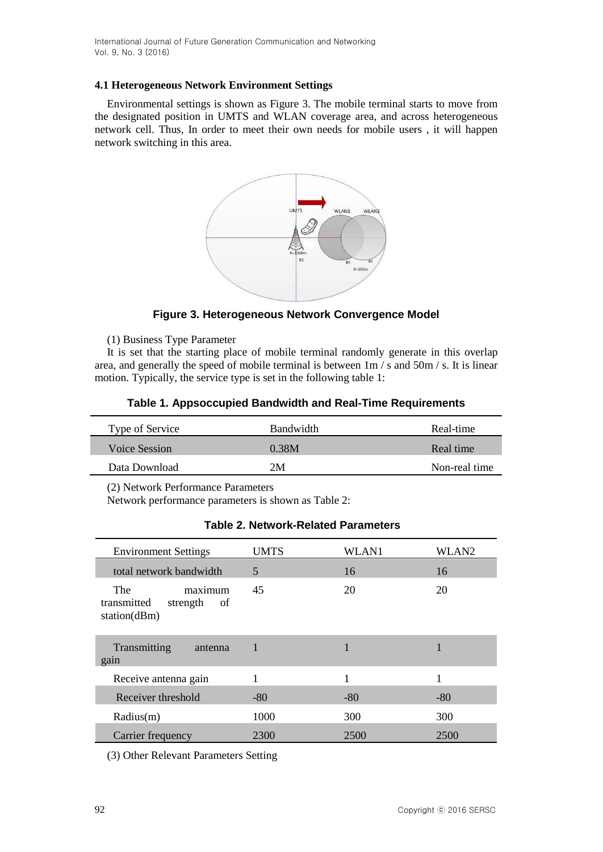International Journal of Future Generation Communication and Networking Vol. 9, No. 3 (2016)

#### **4.1 Heterogeneous Network Environment Settings**

Environmental settings is shown as Figure 3. The mobile terminal starts to move from the designated position in UMTS and WLAN coverage area, and across heterogeneous network cell. Thus, In order to meet their own needs for mobile users , it will happen network switching in this area.



### **Figure 3. Heterogeneous Network Convergence Model**

(1) Business Type Parameter

It is set that the starting place of mobile terminal randomly generate in this overlap area, and generally the speed of mobile terminal is between 1m / s and 50m / s. It is linear motion. Typically, the service type is set in the following table 1:

| Type of Service | Bandwidth | Real-time     |
|-----------------|-----------|---------------|
| Voice Session   | 0.38M     | Real time     |
| Data Download   | 2 M       | Non-real time |

#### **Table 1. Appsoccupied Bandwidth and Real-Time Requirements**

(2) Network Performance Parameters

Network performance parameters is shown as Table 2:

| <b>Environment Settings</b>                                            | <b>UMTS</b> | WLAN1 | WLAN2 |
|------------------------------------------------------------------------|-------------|-------|-------|
| total network bandwidth                                                | 5           | 16    | 16    |
| maximum<br><b>The</b><br>transmitted<br>strength<br>of<br>station(dBm) | 45          | 20    | 20    |
| Transmitting<br>antenna<br>gain                                        |             |       |       |
| Receive antenna gain                                                   |             | 1     |       |
| Receiver threshold                                                     | $-80$       | $-80$ | $-80$ |
| Radius(m)                                                              | 1000        | 300   | 300   |
| Carrier frequency                                                      | 2300        | 2500  | 2500  |

### **Table 2. Network-Related Parameters**

(3) Other Relevant Parameters Setting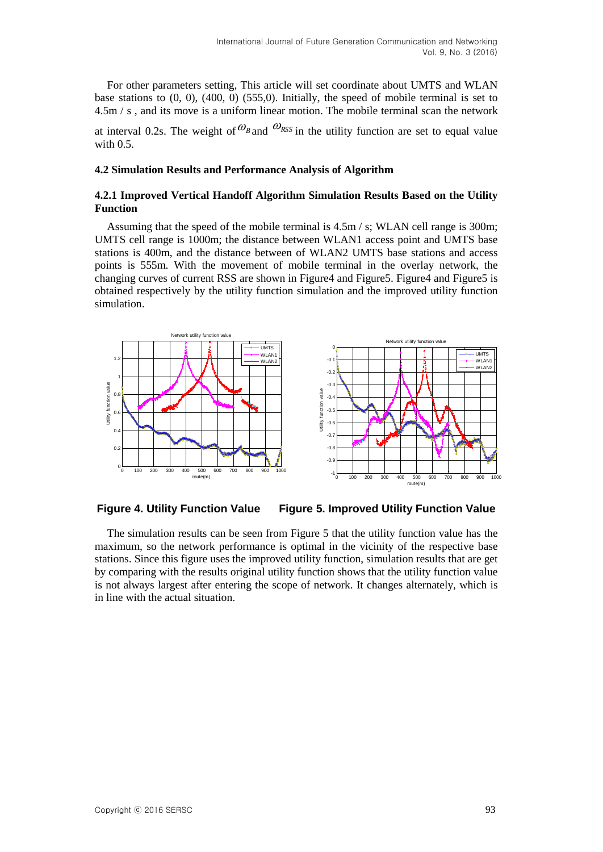For other parameters setting, This article will set coordinate about UMTS and WLAN base stations to (0, 0), (400, 0) (555,0). Initially, the speed of mobile terminal is set to 4.5m / s , and its move is a uniform linear motion. The mobile terminal scan the network

at interval 0.2s. The weight of  $\mathcal{O}_{B}$  and  $\mathcal{O}_{RSS}$  in the utility function are set to equal value with 0.5.

#### **4.2 Simulation Results and Performance Analysis of Algorithm**

#### **4.2.1 Improved Vertical Handoff Algorithm Simulation Results Based on the Utility Function**

Assuming that the speed of the mobile terminal is 4.5m / s; WLAN cell range is 300m; UMTS cell range is 1000m; the distance between WLAN1 access point and UMTS base stations is 400m, and the distance between of WLAN2 UMTS base stations and access points is 555m. With the movement of mobile terminal in the overlay network, the changing curves of current RSS are shown in Figure4 and Figure5. Figure4 and Figure5 is obtained respectively by the utility function simulation and the improved utility function simulation.



**Figure 4. Utility Function Value Figure 5. Improved Utility Function Value**

The simulation results can be seen from Figure 5 that the utility function value has the maximum, so the network performance is optimal in the vicinity of the respective base stations. Since this figure uses the improved utility function, simulation results that are get by comparing with the results original utility function shows that the utility function value is not always largest after entering the scope of network. It changes alternately, which is in line with the actual situation.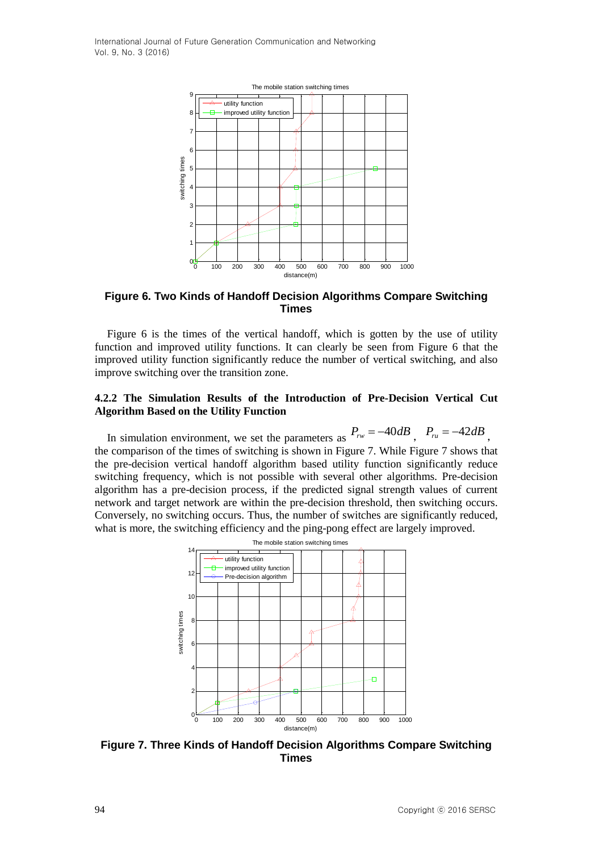

#### **Figure 6. Two Kinds of Handoff Decision Algorithms Compare Switching Times**

Figure 6 is the times of the vertical handoff, which is gotten by the use of utility function and improved utility functions. It can clearly be seen from Figure 6 that the improved utility function significantly reduce the number of vertical switching, and also improve switching over the transition zone.

#### **4.2.2 The Simulation Results of the Introduction of Pre-Decision Vertical Cut Algorithm Based on the Utility Function**

In simulation environment, we set the parameters as  $P_{rw} = -40dB$ ,  $P_{ru} = -42dB$ , the comparison of the times of switching is shown in Figure 7. While Figure 7 shows that the pre-decision vertical handoff algorithm based utility function significantly reduce switching frequency, which is not possible with several other algorithms. Pre-decision algorithm has a pre-decision process, if the predicted signal strength values of current network and target network are within the pre-decision threshold, then switching occurs. Conversely, no switching occurs. Thus, the number of switches are significantly reduced, what is more, the switching efficiency and the ping-pong effect are largely improved.



**Figure 7. Three Kinds of Handoff Decision Algorithms Compare Switching Times**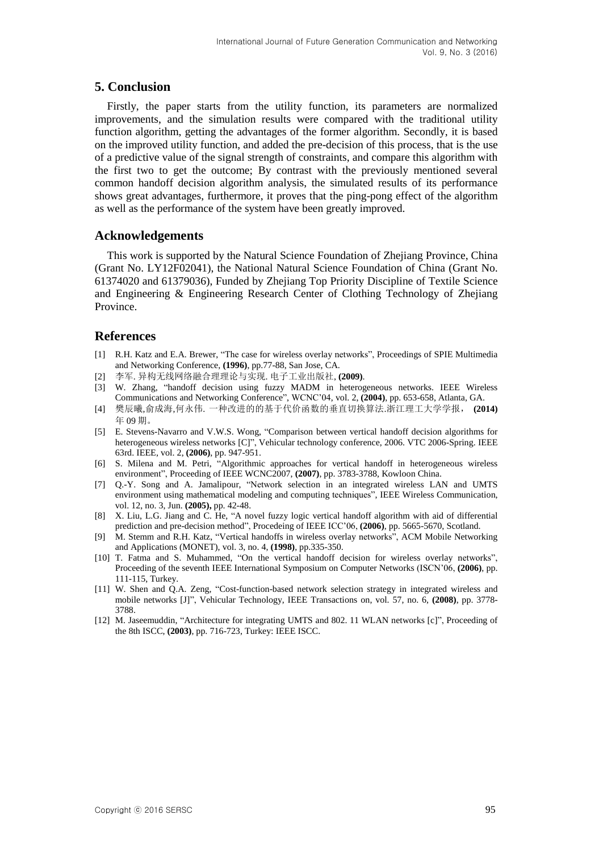# **5. Conclusion**

Firstly, the paper starts from the utility function, its parameters are normalized improvements, and the simulation results were compared with the traditional utility function algorithm, getting the advantages of the former algorithm. Secondly, it is based on the improved utility function, and added the pre-decision of this process, that is the use of a predictive value of the signal strength of constraints, and compare this algorithm with the first two to get the outcome; By contrast with the previously mentioned several common handoff decision algorithm analysis, the simulated results of its performance shows great advantages, furthermore, it proves that the ping-pong effect of the algorithm as well as the performance of the system have been greatly improved.

### **Acknowledgements**

This work is supported by the Natural Science Foundation of Zhejiang Province, China (Grant No. LY12F02041), the National Natural Science Foundation of China (Grant No. 61374020 and 61379036), Funded by Zhejiang Top Priority Discipline of Textile Science and Engineering & Engineering Research Center of Clothing Technology of Zhejiang Province.

### **References**

- [1] R.H. Katz and E.A. Brewer, "The case for wireless overlay networks", Proceedings of SPIE Multimedia and Networking Conference, **(1996)**, pp.77-88, San Jose, CA.
- [2] 李军. 异构无线网络融合理理论与实现. 电子工业出版社, **(2009)**.
- [3] W. Zhang, "handoff decision using fuzzy MADM in heterogeneous networks. IEEE Wireless Communications and Networking Conference", WCNC'04, vol. 2, **(2004)**, pp. 653-658, Atlanta, GA.
- [4] 樊辰曦,俞成海,何永伟. 一种改进的的基于代价函数的垂直切换算法.浙江理工大学学报, **(2014)** 年 09 期。
- [5] E. Stevens-Navarro and V.W.S. Wong, "Comparison between vertical handoff decision algorithms for heterogeneous wireless networks [C]", Vehicular technology conference, 2006. VTC 2006-Spring. IEEE 63rd. IEEE, vol. 2, **(2006)**, pp. 947-951.
- [6] S. Milena and M. Petri, "Algorithmic approaches for vertical handoff in heterogeneous wireless environment", Proceeding of IEEE WCNC2007, **(2007)**, pp. 3783-3788, Kowloon China.
- [7] Q.-Y. Song and A. Jamalipour, "Network selection in an integrated wireless LAN and UMTS environment using mathematical modeling and computing techniques", IEEE Wireless Communication, vol. 12, no. 3, Jun. **(2005),** pp. 42-48.
- [8] X. Liu, L.G. Jiang and C. He, "A novel fuzzy logic vertical handoff algorithm with aid of differential prediction and pre-decision method", Procedeing of IEEE ICC'06, **(2006)**, pp. 5665-5670, Scotland.
- [9] M. Stemm and R.H. Katz, "Vertical handoffs in wireless overlay networks", ACM Mobile Networking and Applications (MONET), vol. 3, no. 4, **(1998)**, pp.335-350.
- [10] T. Fatma and S. Muhammed, "On the vertical handoff decision for wireless overlay networks", Proceeding of the seventh IEEE International Symposium on Computer Networks (ISCN'06, **(2006)**, pp. 111-115, Turkey.
- [11] W. Shen and Q.A. Zeng, "Cost-function-based network selection strategy in integrated wireless and mobile networks [J]", Vehicular Technology, IEEE Transactions on, vol. 57, no. 6, **(2008)**, pp. 3778- 3788.
- [12] M. Jaseemuddin, "Architecture for integrating UMTS and 802. 11 WLAN networks [c]", Proceeding of the 8th ISCC, **(2003)**, pp. 716-723, Turkey: IEEE ISCC.